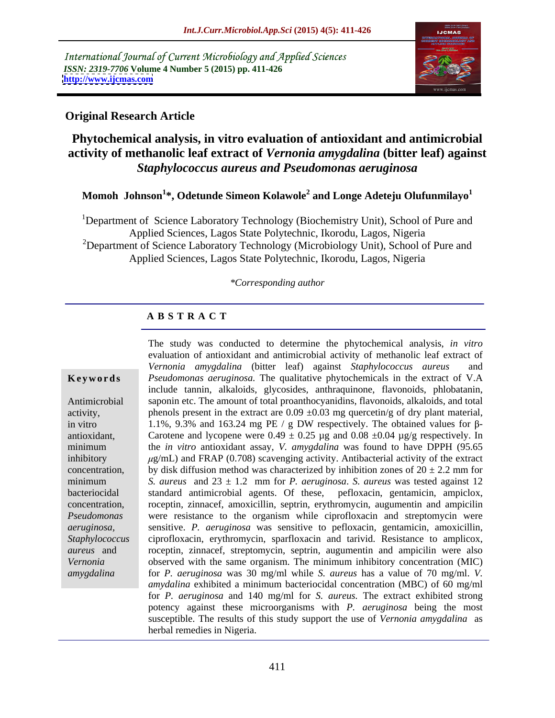International Journal of Current Microbiology and Applied Sciences *ISSN: 2319-7706* **Volume 4 Number 5 (2015) pp. 411-426 <http://www.ijcmas.com>**



### **Original Research Article**

### **Phytochemical analysis, in vitro evaluation of antioxidant and antimicrobial activity of methanolic leaf extract of** *Vernonia amygdalina* **(bitter leaf) against**  *Staphylococcus aureus and Pseudomonas aeruginosa*

**Momoh Johnson<sup>1</sup> \*, Odetunde Simeon Kolawole<sup>2</sup> and Longe Adeteju Olufunmilayo<sup>1</sup>**

<sup>1</sup>Department of Science Laboratory Technology (Biochemistry Unit), School of Pure and Applied Sciences, Lagos State Polytechnic, Ikorodu, Lagos, Nigeria <sup>2</sup>Department of Science Laboratory Technology (Microbiology Unit), School of Pure and Applied Sciences, Lagos State Polytechnic, Ikorodu, Lagos, Nigeria

#### *\*Corresponding author*

### **A B S T R A C T**

*amygdalina*

The study was conducted to determine the phytochemical analysis, *in vitro* evaluation of antioxidant and antimicrobial activity of methanolic leaf extract of *Vernonia amygdalina* (bitter leaf) against *Staphylococcus aureus* and **Keywords** Pseudomonas aeruginosa. The qualitative phytochemicals in the extract of V.A include tannin, alkaloids, glycosides, anthraquinone, flavonoids, phlobatanin, Antimicrobial saponin etc. The amount of total proanthocyanidins, flavonoids, alkaloids, and total activity, phenols present in the extract are  $0.09 \pm 0.03$  mg quercetin/g of dry plant material, in vitro 1.1%, 9.3% and 163.24 mg PE / g DW respectively. The obtained values for  $\beta$ antioxidant, Carotene and lycopene were  $0.49 \pm 0.25$  µg and  $0.08 \pm 0.04$  µg/g respectively. In the *in vitro* antioxidant assay, *V. amygdalina* was found to have DPPH (95.65 minimum inhibitory  $\mu$ g/mL) and FRAP (0.708) scavenging activity. Antibacterial activity of the extract concentration, by disk diffusion method was characterized by inhibition zones of  $20 \pm 2.2$  mm for *S. aureus* and 23 ± 1.2 mm for *P. aeruginosa*. *S. aureus* was tested against 12 minimum bacteriocidal standard antimicrobial agents. Of these, pefloxacin, gentamicin, ampiclox, roceptin, zinnacef, amoxicillin, septrin, erythromycin, augumentin and ampicilin concentration, were resistance to the organism while ciprofloxacin and streptomycin were *Pseudomonas*  sensitive. *P. aeruginosa* was sensitive to pefloxacin, gentamicin, amoxicillin, *aeruginosa,*  ciprofloxacin, erythromycin, sparfloxacin and tarivid. Resistance to amplicox, *Staphylococcus*  roceptin, zinnacef, streptomycin, septrin, augumentin and ampicilin were also *aureus* and *Vernonia* **b**observed with the same organism. The minimum inhibitory concentration (MIC) for *P. aeruginosa* was 30 mg/ml while *S. aureus* has a value of 70 mg/ml. *V. amydalina* exhibited a minimum bacteriocidal concentration (MBC) of 60 mg/ml for *P. aeruginosa* and 140 mg/ml for *S. aureus.* The extract exhibited strong potency against these microorganisms with *P. aeruginosa* being the most susceptible. The results of this study support the use of *Vernonia amygdalina* as herbal remedies in Nigeria.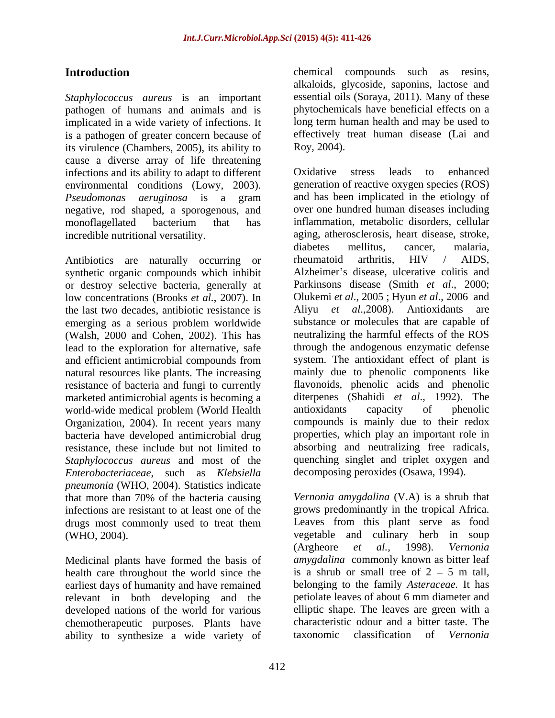*Staphylococcus aureus* is an important pathogen of humans and animals and is implicated in a wide variety of infections. It is a pathogen of greater concern because of effectively<br>its virulence (Chambers, 2005), its ability to Roy, 2004). its virulence (Chambers, 2005), its ability to cause a diverse array of life threatening infections and its ability to adapt to different negative, rod shaped, a sporogenous, and

synthetic organic compounds which inhibit or destroy selective bacteria, generally at low concentrations (Brooks *et al.*, 2007). In the last two decades, antibiotic resistance is Aliyu *et al.*,2008). Antioxidants are emerging as a serious problem worldwide (Walsh, 2000 and Cohen, 2002). This has lead to the exploration for alternative, safe natural resources like plants. The increasing resistance of bacteria and fungi to currently marketed antimicrobial agents is becoming a diterpenes (Shahidi et al., 1992). The world-wide medical problem (World Health antioxidants capacity of phenolic world-wide medical problem (World Health Organization, 2004). In recent years many bacteria have developed antimicrobial drug resistance, these include but not limited to *Staphylococcus aureus* and most of the *Enterobacteriaceae*, such as *Klebsiella pneumonia* (WHO, 2004). Statistics indicate that more than 70% of the bacteria causing infections are resistant to at least one of the drugs most commonly used to treat them

Medicinal plants have formed the basis of amygdalina commonly known as bitter leaf health care throughout the world since the  $\frac{1}{10}$  is a shrub or small tree of 2 – 5 m tall. health care throughout the world since the earliest days of humanity and have remained relevant in both developing and the developed nations of the world for various chemotherapeutic purposes. Plants have characteristic odour and a bitter taste. The ability to synthesize a wide variety of taxonomic classification of Vernonia ability to synthesize a wide variety of

Introduction **Introduction** chemical compounds such as resins, alkaloids, glycoside, saponins, lactose and essential oils (Soraya, 2011). Many of these phytochemicals have beneficial effects on a long term human health and may be used to effectively treat human disease (Lai and Roy, 2004).

environmental conditions (Lowy, 2003). generation of reactive oxygen species (ROS) *Pseudomonas aeruginosa* is a gram monoflagellated bacterium that has incredible nutritional versatility. aging, atherosclerosis, heart disease, stroke, Antibiotics are naturally occurring or rheumatoid arthritis, HIV / AIDS, and efficient antimicrobial compounds from system. The antioxidant effect of plant is Oxidative stress leads to enhanced and has been implicated in the etiology of over one hundred human diseases including inflammation, metabolic disorders, cellular diabetes mellitus, cancer, malaria, rheumatoid arthritis, HIV / AIDS, Alzheimer's disease, ulcerative colitis and Parkinsons disease (Smith *et al*., 2000; Olukemi *et al*., 2005 ; Hyun *et al*., 2006 and Aliyu *et al.*,2008). Antioxidants substance or molecules that are capable of neutralizing the harmful effects of the ROS through the andogenous enzymatic defense system. The antioxidant effect of plant is mainly due to phenolic components like flavonoids, phenolic acids and phenolic diterpenes (Shahidi *et al*., 1992). The antioxidants capacity of phenolic compounds is mainly due to their redox properties, which play an important role in absorbing and neutralizing free radicals, quenching singlet and triplet oxygen and decomposing peroxides (Osawa, 1994).

(WHO, 2004). vegetable and culinary herb in soup *Vernonia amygdalina* (V.A) is a shrub that grows predominantly in the tropical Africa. Leaves from this plant serve as food (Argheore *et al.,* 1998). *Vernonia amygdalina* commonly known as bitter leaf is a shrub or small tree of  $2 - 5$  m tall, belonging to the family *Asteraceae.* It has petiolate leaves of about 6 mm diameter and elliptic shape. The leaves are green with a characteristic odour and a bitter taste. The taxonomic classification of *Vernonia*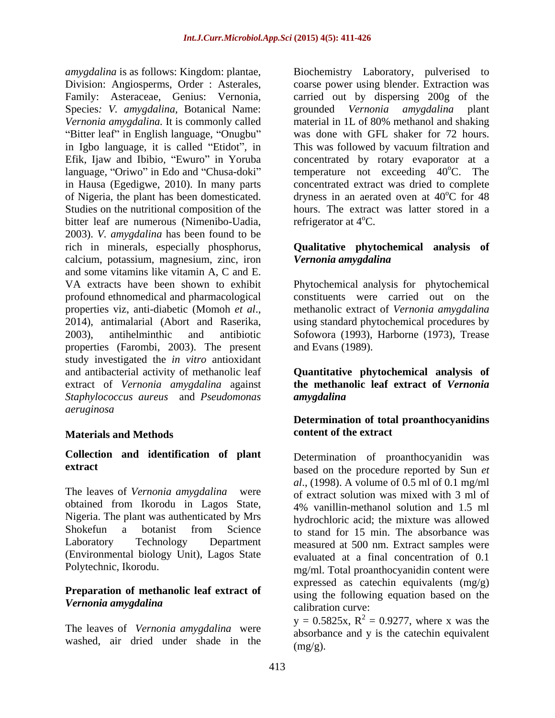*amygdalina* is as follows: Kingdom: plantae, Biochemistry Laboratory, pulverised to *Vernonia amygdalina.* It is commonly called "Bitter leaf" in English language, "Onugbu" in Igbo language, it is called "Etidot", in of Nigeria, the plant has been domesticated. Studies on the nutritional composition of the bitter leaf are numerous (Nimenibo-Uadia, 2003). *V. amygdalina* has been found to be rich in minerals, especially phosphorus, **Qualitative phytochemical analysis of** calcium, potassium, magnesium, zinc, iron Vernonia amygdalina and some vitamins like vitamin A, C and E. VA extracts have been shown to exhibit Phytochemical analysis for phytochemical profound ethnomedical and pharmacological constituents were carried out on the properties viz, anti-diabetic (Momoh *et al.*, antimalarial (Abort and Raserika, antimalarial (Abort and Raserika, antimalarial mocedures by all the values of vertical procedures by antimalarial (Abort and Raserika, antima 2003), antihelminthic and antibiotic Sofowora (1993), Harborne (1973), Trease properties (Farombi, 2003). The present study investigated the *in vitro* antioxidant and antibacterial activity of methanolic leaf **Quantitative phytochemical analysis of** extract of *Vernonia amygdalina* against *Staphylococcus aureus* and *Pseudomonas aeruginosa*

#### **Materials and Methods**

## **Collection and identification of plant**

The leaves of *Vernonia amygdalina* were of extract solution was mixed with 3 ml of obtained from Ikorodu in Lagos State, Nigeria. The plant was authenticated by Mrs Shokefun a botanist from Science  $\overrightarrow{r}$  to stand for 15 min The absorbance was Laboratory Technology Department measured at 500 nm. Extract samples were (Environmental biology Unit), Lagos State

## **Preparation of methanolic leaf extract of**

The leaves of *Vernonia amygdalina* were washed, air dried under shade in the

Division: Angiosperms, Order : Asterales, coarse power using blender. Extraction was Family: Asteraceae, Genius: Vernonia, carried out by dispersing 200g of the Species*: V. amygdalina,* Botanical Name: grounded *Vernonia amygdalina* plant in Igbo language, it is called "Etidot", in This was followed by vacuum filtration and Efik, Ijaw and Ibibio, "Ewuro" in Yoruba concentrated by rotary evaporator at a language, "Oriwo" in Edo and "Chusa-doki" temperature not exceeding 40°C. The in Hausa (Egedigwe, 2010). In many parts concentrated extract was dried to complete material in 1L of 80% methanol and shaking was done with GFL shaker for 72 hours. <sup>o</sup>C. The dryness in an aerated oven at  $40^{\circ}$ C for 48  $^{\circ}$ C for 48 hours. The extract was latter stored in a refrigerator at  $4^{\circ}$ C.

# *Vernonia amygdalina*

methanolic extract of *Vernonia amygdalina* using standard phytochemical procedures by and Evans (1989).

**the methanolic leaf extract of** *Vernonia amygdalina*

### **Determination of total proanthocyanidins content of the extract**

**extract** based on the procedure reported by Sun *et* Polytechnic, Ikorodu. mg/ml. Total proanthocyanidin content were *Vernonia amygdalina* Determination of proanthocyanidin was *al*., (1998). A volume of 0.5 ml of 0.1 mg/ml 4% vanillin-methanol solution and 1.5 ml hydrochloric acid; the mixture was allowed to stand for 15 min. The absorbance was evaluated at a final concentration of 0.1 expressed as catechin equivalents (mg/g) using the following equation based on the calibration curve:

> $y = 0.5825x$ ,  $R^2 = 0.9277$ , where x was the absorbance and y is the catechin equivalent  $(mg/g)$ .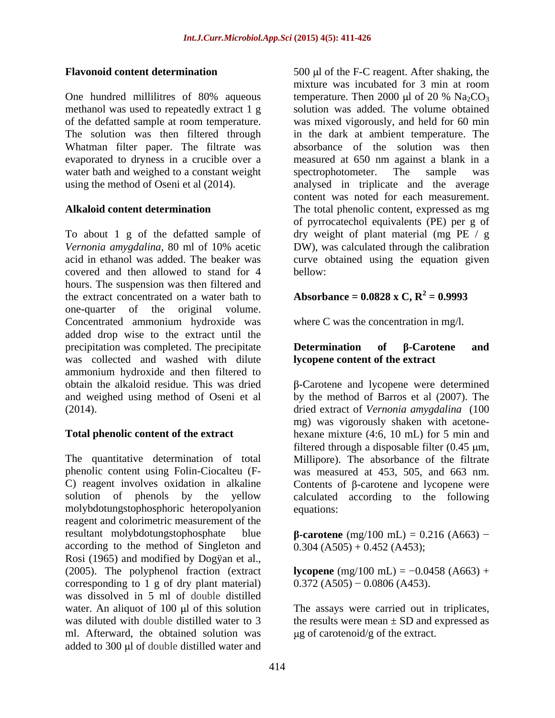One hundred millilitres of 80% aqueous temperature. Then 2000  $\mu$ l of 20 % Na<sub>2</sub>CO<sub>3</sub> Whatman filter paper. The filtrate was evaporated to dryness in a crucible over a water bath and weighed to a constant weight spectrophotometer. The sample was

To about 1 g of the defatted sample of dry weight of plant material (mg PE / g *Vernonia amygdalina*, 80 ml of 10% acetic acid in ethanol was added. The beaker was curve obtained using the equation given covered and then allowed to stand for 4 hours. The suspension was then filtered and the extract concentrated on a water bath to one-quarter of the original volume. Concentrated ammonium hydroxide was added drop wise to the extract until the precipitation was completed. The precipitate  $\qquad$  **Determination** of  $\beta$ -Carotene and was collected and washed with dilute ammonium hydroxide and then filtered to obtain the alkaloid residue. This was dried -Carotene and lycopene were determined and weighed using method of Oseni et al by the method of Barros et al (2007). The

The quantitative determination of total Millipore). The absorbance of the filtrate phenolic content using Folin-Ciocalteu (F- was measured at 453, 505, and 663 nm. C) reagent involves oxidation in alkaline  $\Box$  Contents of  $\beta$ -carotene and lycopene were solution of phenols by the yellow calculated according to the following molybdotungstophosphoric heteropolyanion reagent and colorimetric measurement of the  $resultant \mbox{ molybdotungstophosphate}$  blue  $\beta\text{-}carotene \mbox{ (mg/100 mL)} = 0.216 \mbox{ (A663)}$  – according to the method of Singleton and Rosi (1965) and modified by Dogÿan et al., (2005). The polyphenol fraction (extract  $\textbf{lycopene}$  (mg/100 mL) =  $-0.0458$  (A663) + corresponding to 1 g of dry plant material) was dissolved in 5 ml of double distilled water. An aliquot of 100 µl of this solution The assays were carried out in triplicates, was diluted with double distilled water to 3 the results were mean  $\pm$  SD and expressed as ml. Afterward, the obtained solution was added to 300 µl of double distilled water and

**Flavonoid content determination** 500 µl of the F-C reagent. After shaking, the methanol was used to repeatedly extract 1 g solution was added. The volume obtained of the defatted sample at room temperature. was mixed vigorously, and held for 60 min The solution was then filtered through in thedark at ambient temperature. The using the method of Oseni et al (2014). analysed in triplicate and the average Alkaloid content determination The total phenolic content, expressed as mg mixture was incubated for 3 min at room temperature. Then 2000 µl of 20 %  $Na<sub>2</sub>CO<sub>3</sub>$ absorbance of the solution was then measured at 650 nm against a blank in a spectrophotometer. The sample was content was noted for each measurement. of pyrrocatechol equivalents (PE) per g of DW), was calculated through the calibration bellow:

#### **Absorbance = 0.0828 x C,**  $R^2 = 0.9993$  **= 0.9993**

where C was the concentration in mg/l.

#### $\mathbf{D}$  **etermination** of  $\beta$ -Carotene and **lycopene content of the extract**

(2014). dried extract of *Vernonia amygdalina* (100 **Total phenolic content of the extract** hexane mixture (4:6, 10 mL) for 5 min and mg) was vigorously shaken with acetone filtered through a disposable filter  $(0.45 \mu m,$ equations:

 $0.304$  (A505) + 0.452 (A453);

 $0.372$  (A505) – 0.0806 (A453).

 $\mu$ g of carotenoid/g of the extract.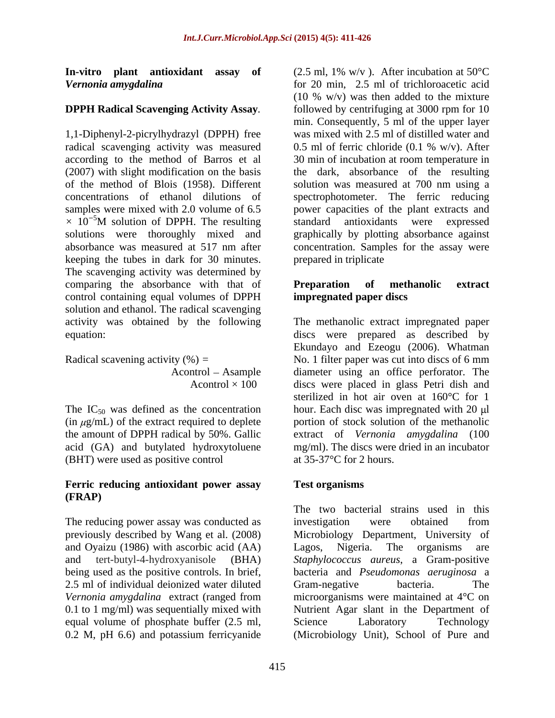### **DPPH Radical Scavenging Activity Assay***.*

1,1-Diphenyl-2-picrylhydrazyl (DPPH) free radical scavenging activity was measured 0.5 ml of ferric chloride (0.1 % w/v). After keeping the tubes in dark for 30 minutes. The scavenging activity was determined by comparing the absorbance with that of **Preparation** of **methanolic** extract control containing equal volumes of DPPH solution and ethanol. The radical scavenging activity was obtained by the following The methanolic extract impregnated paper

The  $IC_{50}$  was defined as the concentration acid (GA) and butylated hydroxytoluene (BHT) were used as positive control

#### **Ferric reducing antioxidant power assay (FRAP)**

The reducing power assay was conducted as investigation were obtained from and Oyaizu (1986) with ascorbic acid (AA) Lagos, Nigeria. The organisms are being used as the positive controls. In brief, 2.5 ml of individual deionized water diluted Gram-negative bacteria. The equal volume of phosphate buffer (2.5 ml,<br>
0.2 M, pH 6.6) and potassium ferricyanide (Microbiology Unit), School of Pure and 0.2 M, pH 6.6) and potassium ferricyanide (Microbiology Unit), School of Pure and

**In-vitro plant antioxidant assay of** (2.5 ml, 1% w/v ). After incubation at 50°C *Vernonia amygdalina* for 20 min, 2.5 ml of trichloroacetic acid according to the method of Barros et al 30 min of incubation at room temperature in (2007) with slight modification on the basis the dark, absorbance of the resulting of the method of Blois (1958). Different solution was measured at 700 nm using a concentrations of ethanol dilutions of spectrophotometer. The ferric reducing samples were mixed with 2.0 volume of 6*.*5 power capacities of the plant extracts and  $\times$  10<sup>-5</sup>M solution of DPPH. The resulting standard antioxidants were expressed solutions were thoroughly mixed and graphically by plotting absorbance against absorbance was measured at 517 nm after concentration. Samples for the assay were (10 % w/v) was then added to the mixture followed by centrifuging at 3000 rpm for 10 min. Consequently, 5 ml of the upper layer was mixed with 2.5 ml of distilled water and 0.5 ml of ferric chloride  $(0.1 %$  w/v). After standard antioxidants were expressed prepared in triplicate

### **Preparation of methanolic extract impregnated paper discs**

equation: discs were prepared as described by Radical scavening activity  $(\%) =$  No. 1 filter paper was cut into discs of 6 mm Acontrol Asample diameter using an office perforator. The  $A$ control  $\times$  100 discs were placed in glass Petri dish and  $(in \mu g/mL)$  of the extract required to deplete portion of stock solution of the methanolic the amount of DPPH radical by 50%. Gallic extract of *Vernonia amygdalina* (100 Ekundayo and Ezeogu (2006). Whatman sterilized in hot air oven at 160°C for 1 hour. Each disc was impregnated with 20  $\mu$ l mg/ml). The discs were dried in an incubator at 35-37°C for 2 hours.

### **Test organisms**

previously described by Wang et al. (2008) Microbiology Department, University of and tert-butyl-4-hydroxyanisole (BHA) *Staphylococcus aureus*, a Gram-positive *Vernonia amygdalina* extract (ranged from microorganisms were maintained at 4°C on 0.1 to 1 mg/ml) was sequentially mixed with Nutrient Agar slant in the Department of The two bacterial strains used in this investigation were obtained from Lagos, Nigeria. The organisms are bacteria and *Pseudomonas aeruginosa* a Gram-negative bacteria. The Science Laboratory Technology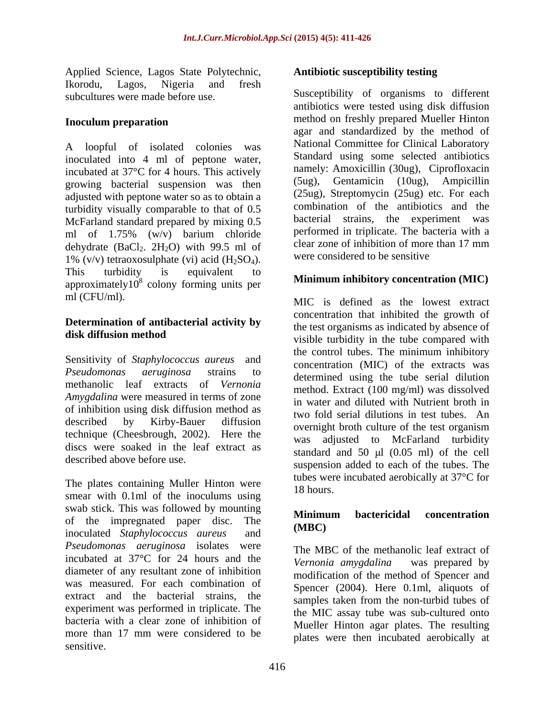Applied Science, Lagos State Polytechnic, Ikorodu, Lagos, Nigeria and fresh

A loopful of isolated colonies was inoculated into 4 ml of peptone water, incubated at 37°C for 4 hours. This actively growing bacterial suspension was then adjusted with peptone water so as to obtain a turbidity visually comparable to that of 0.5 McFarland standard prepared by mixing 0.5 ml of 1.75% (w/v) barium chloride performed in triplicate. The bacteria with a debudrate (BaCl, 2H.O) with 99.5 ml of clear zone of inhibition of more than 17 mm dehydrate (BaCl<sub>2</sub>. 2H<sub>2</sub>O) with 99.5 ml of 1% (v/v) tetraoxosulphate (vi) acid  $(H_2SO_4)$ .<br>This turbidity is equivalent to This turbidity is equivalent to  $\mathbf{M}$ :  $\mathbf{M}$  is the matrix  $\mathbf{M}$   $\mathbf{M}$ approximately10 $8$  colony forming units per **Minimum inhibitory concentration (MIC)** 

# **Determination of antibacterial activity by**

*Amygdalina* were measured in terms of zone of inhibition using disk diffusion method as technique (Cheesbrough, 2002). Here the discs were soaked in the leaf extract as described above before use.

The plates containing Muller Hinton were the three three three three three three three three three three three three three three three three three three three three three three three three three three three three three thr smear with 0.1ml of the inoculums using swab stick. This was followed by mounting<br>
Minimum bactericidal concentration of the impregnated paper disc. The **MHHH** (MBC) inoculated *Staphylococcus aureus* and *Pseudomonas aeruginosa* isolates were incubated at 37<sup>°</sup>C for 24 hours and the *Vernonia amygdalina* was prepared by diameter of any resultant zone of inhibition was measured. For each combination of extract and the bacterial strains, the experiment was performed in triplicate. The bacteria with a clear zone of inhibition of more than 17 mm were considered to be sensitive.

### **Antibiotic susceptibility testing**

subcultures were made before use. Susceptibility of organisms to different **Inoculum preparation** method on freshly prepared Mueller Hinton antibiotics were tested using disk diffusion agar and standardized by the method of National Committee for Clinical Laboratory Standard using some selected antibiotics namely: Amoxicillin (30ug), Ciprofloxacin (5ug), Gentamicin (10ug), Ampicillin (25ug), Streptomycin (25ug) etc. For each combination of the antibiotics and the bacterial strains, the experiment was performed in triplicate. The bacteria with a clear zone of inhibition of more than 17 mm were considered to be sensitive

### **Minimum inhibitory concentration (MIC)**

ml (CFU/ml). MIC is defined as the lowest extract **disk diffusion method** wisible turbidity in the tube compared with Sensitivity of *Staphylococcus aureus* and the control tubes. The minimum inhibitory *Pseudomonas aeruginosa* strains to determined using the tube serial dilution methanolic leaf extracts of *Vernonia*  method. Extract (100 mg/ml) was dissolved described by Kirby-Bauer diffusion overnight broth culture of the test organism described above before use. suspension added to each of the tubes. The concentration that inhibited the growth of the test organisms as indicated by absence of the control tubes. The minimum inhibitory concentration (MIC) of the extracts was in water and diluted with Nutrient broth in two fold serial dilutions in test tubes. An was adjusted to McFarland turbidity standard and  $50 \text{ µl}$  (0.05 ml) of the cell tubes were incubated aerobically at 37°C for 18 hours.

### **Minimum bactericidal concentration (MBC)**

The MBC of the methanolic leaf extract of *Vernonia amygdalina* was prepared by modification of the method of Spencer and Spencer (2004). Here 0.1ml, aliquots of samples taken from the non-turbid tubes of the MIC assay tube was sub-cultured onto Mueller Hinton agar plates. The resulting plates were then incubated aerobically at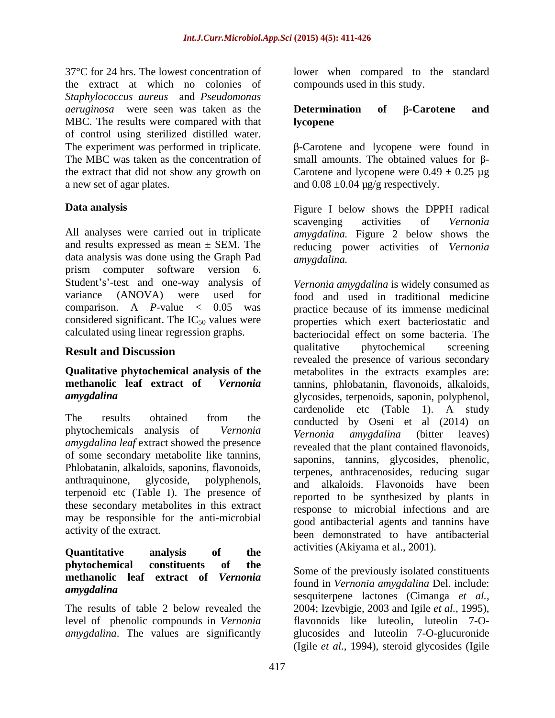37°C for 24 hrs. The lowest concentration of lower when compared to the standard the extract at which no colonies of *Staphylococcus aureus* and *Pseudomonas aeruginosa* were seen was taken as the MBC. The results were compared with that **Ivelgate** of control using sterilized distilled water. The experiment was performed in triplicate.  $\beta$ -Carotene and lycopene were found in The MBC was taken as the concentration of small amounts. The obtained values for  $\beta$ the extract that did not show any growth on Carotene and lycopene were  $0.49 \pm 0.25 \mu$ g

All analyses were carried out in triplicate *amygdalina.* Figure 2 below shows the and results expressed as mean ± SEM. The reducing power activities of *Vernonia*  data analysis was done using the Graph Pad amygdalina. prism computer software version 6.<br>Student's'-test and one-way analysis of *Vernonia amvedalina* is widely consumed as

phytochemicals analysis of *vernonia Vernonia amygdalina* (bitter leaves)<br>amygdalina leaf extract showed the presence revealed that the plant contained flavonoids of some secondary metabolite like tannins, Phlobatanin, alkaloids, saponins, flavonoids, terpenoid etc (Table I). The presence of these secondary metabolites in this extract may be responsible for the anti-microbial

## **Quantitative analysis of the phytochemical constituents of the methanolic leaf extract of** *Vernonia*

compounds used in this study.

#### $\mathbf{D}$  **etermination** of  $\beta$ -Carotene and **lycopene**

a new set of agar plates.  $\qquad \qquad \text{and } 0.08 \pm 0.04 \text{ µg/g respectively.}$ 

**Data analysis**  Figure I below shows the DPPH radical scavenging activities of *Vernonia amygdalina.* 

variance (ANOVA) were used for food and used in traditional medicine comparison. A *P*-value < 0.05 was practice because of its immense medicinal considered significant. The  $IC_{50}$  values were properties which exert bacteriostatic and calculated using linear regression graphs. bacteriocidal effect on some bacteria. The **Result and Discussion Example 1** and **Result and Discussion Example 1** and **Result and Discussion Qualitative phytochemical analysis of the** metabolites in the extracts examples are: **methanolic leaf extract of** *Vernonia*  tannins, phlobatanin, flavonoids, alkaloids, *amygdalina* glycosides, terpenoids, saponin, polyphenol, The results obtained from the conducted by Oseni et al.  $(2014)$  on phytochemicals analysis of *Vernonia* anthraquinone, glycoside, polyphenols, and alkaloids. Flavonoids have been activity of the extract.<br>
been demonstrated to have antibacterial *Vernonia amygdalina* is widely consumed as qualitative phytochemical screening revealed the presence of various secondary cardenolide etc (Table 1). A study conducted by Oseni et al (2014) on *Vernonia amygdalina* (bitter leaves) revealed that the plant contained flavonoids, saponins, tannins, glycosides, phenolic, terpenes, anthracenosides, reducing sugar reported to be synthesized by plants in response to microbial infections and are good antibacterial agents and tannins have activities (Akiyama et al., 2001).

*amygdalina*  sesquiterpene lactones (Cimanga *et al.,* The results of table 2 below revealed the 2004; Izevbigie, 2003 and Igile *et al.,* 1995), level of phenolic compounds in *Vernonia* flavonoids like luteolin, luteolin 7-O amygdalina. The values are significantly splucosides and luteolin 7-O-glucuronide Some of the previously isolated constituents found in *Vernonia amygdalina* Del. include: (Igile *et al.,* 1994), steroid glycosides (Igile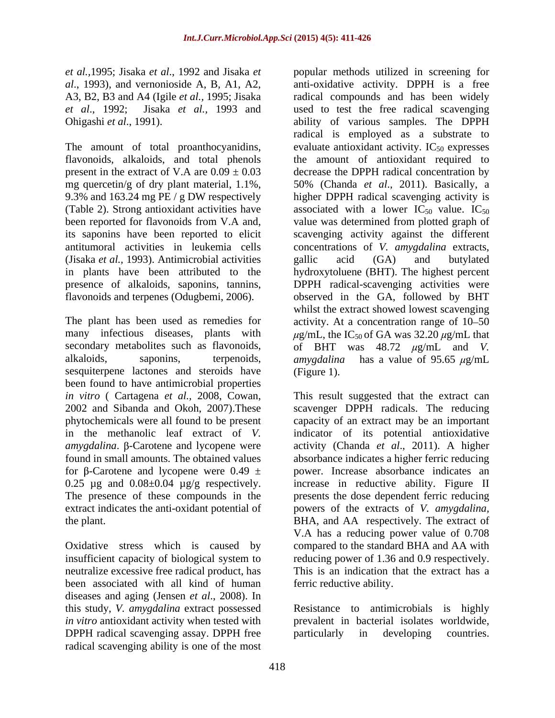*et al.,*1995; Jisaka *et al*., 1992 and Jisaka *et*  popular methods utilized in screening for

(Jisaka *et al.,* 1993). Antimicrobial activities

sesquiterpene lactones and steroids have (Figure 1). been found to have antimicrobial properties for  $\beta$ -Carotene and lycopene were 0.49  $\pm$ 

neutralize excessive free radical product, has been associated with all kind of human diseases and aging (Jensen *et al*., 2008). In this study, *V. amygdalina* extract possessed Resistance to antimicrobials is highly in vitro antioxidant activity when tested with prevalent in bacterial isolates worldwide, DPPH radical scavenging assay. DPPH free particularly in developing countries. radical scavenging ability is one of the most

*al*., 1993), and vernonioside A, B, A1, A2, anti-oxidative activity. DPPH is a free A3, B2, B3 and A4 (Igile *et al.,* 1995; Jisaka radical compounds and has been widely *et al*., 1992; Jisaka *et al.,* 1993 and used to test the free radical scavenging Ohigashi *et al*., 1991). ability of various samples. The DPPH The amount of total proanthocyanidins, evaluate antioxidant activity.  $IC_{50}$  expresses flavonoids, alkaloids, and total phenols the amount of antioxidant required to present in the extract of V.A are  $0.09 \pm 0.03$  decrease the DPPH radical concentration by mg quercetin/g of dry plant material, 1.1%, 50% (Chanda *et al*., 2011). Basically, a 9.3% and 163.24 mg PE / g DW respectively higher DPPH radical scavenging activity is (Table 2). Strong antioxidant activities have associated with a lower  $IC_{50}$  value.  $IC_{50}$ been reported for flavonoids from V.A and, value was determined from plotted graph of its saponins have been reported to elicit scavenging activity against the different antitumoral activities in leukemia cells concentrations of *V. amygdalina* extracts, in plants have been attributed to the hydroxytoluene (BHT). The highest percent presence of alkaloids, saponins, tannins, DPPH radical-scavenging activities were flavonoids and terpenes (Odugbemi, 2006). observed in the GA, followed by BHT The plant has been used as remedies for activity. At a concentration range of 10–50 many infectious diseases, plants with  $\mu$ g/mL, the IC<sub>50</sub> of GA was 32.20  $\mu$ g/mL that secondary metabolites such as flavonoids,  $\qquad \qquad$  of BHT was 48.72  $\mu$ g/mL and *V*. alkaloids, saponins, terpenoids, amygdalina has a value of 95.65 µg/mL radical is employed as a substrate to gallic acid (GA) and butylated whilst the extract showed lowest scavenging (Figure 1).

*in vitro* ( Cartagena *et al.,* 2008, Cowan, This result suggested that the extract can 2002 and Sibanda and Okoh, 2007).These scavenger DPPH radicals. The reducing phytochemicals were all found to be present capacity of an extract may be an important in the methanolic leaf extract of *V.*  indicator of its potential antioxidative *amygdalina*. β-Carotene and lycopene were activity (Chanda *et al.*, 2011). A higher found in small amounts. The obtained values absorbance indicates a higher ferric reducing 0.25  $\mu$ g and 0.08 $\pm$ 0.04  $\mu$ g/g respectively. increase in reductive ability. Figure II The presence of these compounds in the presents the dose dependent ferric reducing extract indicates the anti-oxidant potential of powers of the extracts of *V. amygdalina,* the plant. BHA, and AA respectively*.* The extract of Oxidative stress which is caused by compared to the standard BHA and AA with insufficient capacity of biological system to reducing power of 1.36 and 0.9 respectively. power. Increase absorbance indicates an V.A has a reducing power value of 0.708 This is an indication that the extract has a ferric reductive ability.

particularly in developing countries.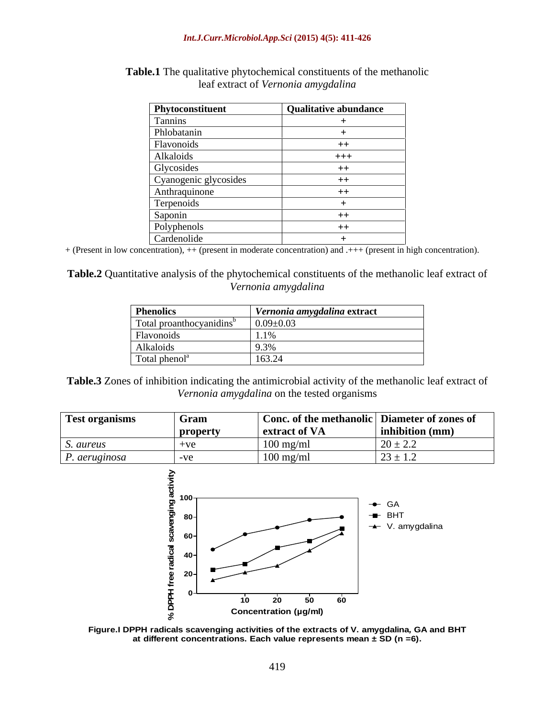| Phytoconstituent      | Qualitative abundance |
|-----------------------|-----------------------|
| Tannins               |                       |
| Phlobatanin           |                       |
| Flavonoids            | $++$                  |
| Alkaloids             | $+++$                 |
| Glycosides            | $++$                  |
| Cyanogenic glycosides | $^{++}$               |
| Anthraquinone         | $++$                  |
| Terpenoids            |                       |
| Saponin               | $++$                  |
| Polyphenols           | $++$                  |
| Cardenolide           |                       |

**Table.1** The qualitative phytochemical constituents of the methanolic leaf extract of *Vernonia amygdalina*

+ (Present in low concentration), ++ (present in moderate concentration) and .+++ (present in high concentration).

**Table.2** Quantitative analysis of the phytochemical constituents of the methanolic leaf extract of *Vernonia amygdalina*

| <b>Phenolics</b>                     | Vernonia amygdalina extract |
|--------------------------------------|-----------------------------|
| Total proanthocyanidins <sup>o</sup> | $0.09 \pm 0.03$             |
| Flavonoids                           |                             |
| Alkaloids                            |                             |
| Total phenol <sup>a</sup>            | $\sim$ $\sim$ $\sim$ $\sim$ |

**Table.3** Zones of inhibition indicating the antimicrobial activity of the methanolic leaf extract of *Vernonia amygdalina* on the tested organisms

| <b>Test organisms</b><br>$\sim$ $\sim$ $\sim$ $\sim$ $\sim$ $\sim$ $\sim$ $\sim$ | <b>Gram</b>              | Conc. of the methanolic Diameter of zones of |                                          |
|----------------------------------------------------------------------------------|--------------------------|----------------------------------------------|------------------------------------------|
|                                                                                  | property<br>$\mathbf{v}$ | extract of VA                                | inhibition (mm)                          |
| S. aureus                                                                        |                          | $100$ mg/m                                   | $20 \pm 2.2$                             |
| P. aeruginosa                                                                    |                          | $100$ mg/ml                                  | - -<br>$\prime \sim +$<br>$2J \perp 1.2$ |



**Figure.I DPPH radicals scavenging activities of the extracts of V. amygdalina, GA and BHT** 8<br>PPH radicals scavenging activities of the extracts of V. amygdalina, GA and BHT<br>at different concentrations. Each value represents mean ± SD (n =6).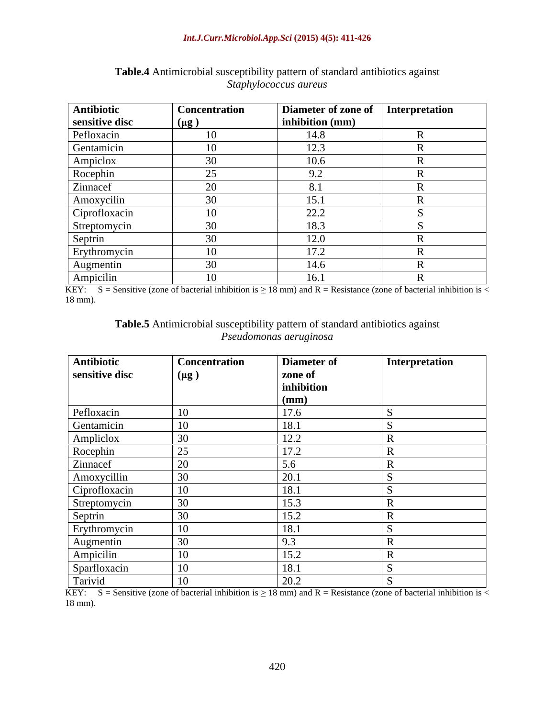#### *Int.J.Curr.Microbiol.App.Sci* **(2015) 4(5): 411-426**

| Antibiotic     | <b>Concentration</b> | Diameter of zone of Interpretation |  |
|----------------|----------------------|------------------------------------|--|
| sensitive disc | $(\mu g)$            | $\vert$ inhibition (mm)            |  |
| Pefloxacin     |                      | 14.8                               |  |
| Gentamicin     |                      | 12.3                               |  |
| Ampiclox       |                      | 10.6                               |  |
| Rocephin       | $\sim$ $\sim$        | 9.2                                |  |
| Zinnacef       |                      |                                    |  |
| Amoxycilin     |                      | 15.1                               |  |
| Ciprofloxacin  |                      | 22.2                               |  |
| Streptomycin   | $\sim$ $\sim$        | 18.3                               |  |
| Septrin        |                      | 12.0                               |  |
| Erythromycin   |                      | 17.2                               |  |
| Augmentin      | $30^{\circ}$         | 14.6                               |  |
| Ampicilin      |                      | 16.1                               |  |

**Table.4** Antimicrobial susceptibility pattern of standard antibiotics against *Staphylococcus aureus*

KEY: S = Sensitive (zone of bacterial inhibition is  $\geq 18$  mm) and R = Resistance (zone of bacterial inhibition is < 18 mm). 18 mm).

#### **Table.5** Antimicrobial susceptibility pattern of standard antibiotics against *Pseudomonas aeruginosa*

| Antibiotic                                                                                                   | <b>Concentration</b> | Diameter of | Interpretation |
|--------------------------------------------------------------------------------------------------------------|----------------------|-------------|----------------|
| sensitive disc                                                                                               | $(\mu g)$            | zone of     |                |
|                                                                                                              |                      | inhibition  |                |
|                                                                                                              |                      | (mm)        |                |
|                                                                                                              | 10                   | 17.6        |                |
| Pefloxacin<br>Gentamicin                                                                                     | 10                   | 18.1        |                |
|                                                                                                              | $\vert 30 \vert$     | 12.2        |                |
| Ampliclox<br>Rocephin<br>Zinnacef                                                                            | $\sqrt{25}$          | 17.2        |                |
|                                                                                                              | 20                   | 5.6         |                |
| Amoxycillin                                                                                                  | 30                   | 20.1        |                |
| Ciprofloxacin                                                                                                | 10                   | 18.1        |                |
|                                                                                                              | 30                   | 15.3        |                |
|                                                                                                              | 30                   | 15.2        |                |
|                                                                                                              | $\boxed{10}$         | 18.1        |                |
|                                                                                                              | $\vert$ 30           | 9.3         |                |
|                                                                                                              | $\boxed{10}$         | 15.2        |                |
|                                                                                                              | 10                   | 18.1        |                |
| Streptomycin<br>Streptomycin<br>Septrin<br>Erythromycin<br>Augmentin<br>Ampicilin<br>Sparfloxacin<br>Tarivid | 10                   | 20.2        |                |

KEY: S = Sensitive (zone of bacterial inhibition is  $\geq 18$  mm) and R = Resistance (zone of bacterial inhibition is < 18 mm).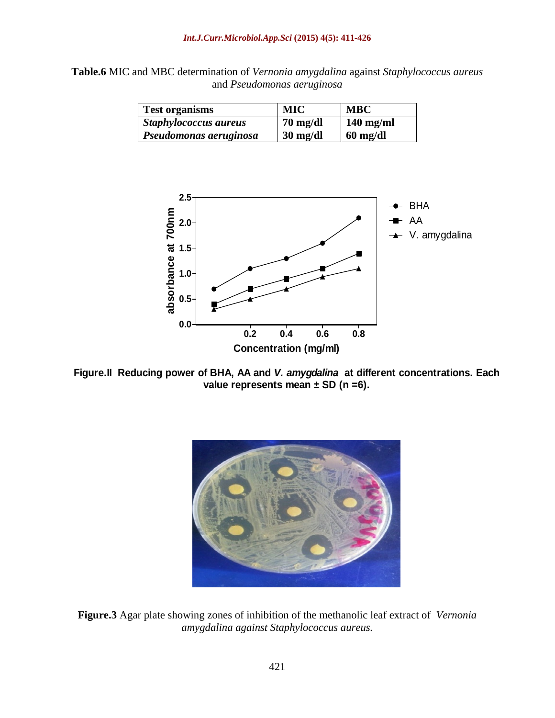**Table.6** MIC and MBC determination of *Vernonia amygdalina* against *Staphylococcus aureus* and *Pseudomonas aeruginosa*

| <b>Test organisms</b>                             | MIC                | <b>MBC</b>         |
|---------------------------------------------------|--------------------|--------------------|
| Staphylococcus aureus<br>$\overline{\phantom{a}}$ | $70 \text{ mg/dl}$ | $140$ mg/ml        |
| <i>Pseudomonas aeruginosa</i>                     | $30 \text{ mg/dl}$ | $60 \text{ mg/dl}$ |



**Figure.II Reducing power of BHA, AA and V. amygdalina at different concentrations. Each**



**Figure.3** Agar plate showing zones of inhibition of the methanolic leaf extract of *Vernonia amygdalina against Staphylococcus aureus.*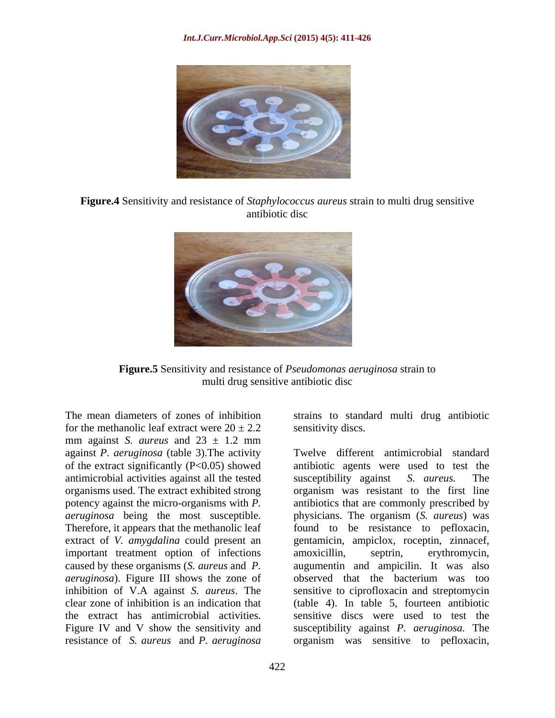

**Figure.4** Sensitivity and resistance of *Staphylococcus aureus* strain to multi drug sensitive antibiotic disc



**Figure.5** Sensitivity and resistance of *Pseudomonas aeruginosa* strain to multi drug sensitive antibiotic disc

for the methanolic leaf extract were  $20 \pm 2.2$ mm against *S. aureus* and  $23 \pm 1.2$  mm against *P. aeruginosa* (table 3).The activity antimicrobial activities against all the tested susceptibility against S. aureus. The organisms used. The extract exhibited strong Therefore, it appears that the methanolic leaf important treatment option of infections amoxicillin, septrin, erythromycin, caused by these organisms (*S. aureus* and *P.* 

The mean diameters of zones of inhibition strains to standard multi drug antibiotic sensitivity discs.

of the extract significantly (P<0.05) showed antibiotic agents were used to test the potency against the micro-organisms with *P.*  antibiotics that are commonly prescribed by *aeruginosa* being the most susceptible. physicians. The organism (*S. aureus*) was extract of *V. amygdalina* could present an gentamicin, ampiclox, roceptin, zinnacef, *aeruginosa*). Figure III shows the zone of observed that the bacterium was too inhibition of V.A against *S. aureus*. The sensitive to ciprofloxacin and streptomycin clear zone of inhibition is an indication that (table 4). In table 5, fourteen antibiotic the extract has antimicrobial activities. Sensitive discs were used to test the Figure IV and V show the sensitivity and Susceptibility against P. *aeruginosa*. The resistance of *S. aureus* and *P. aeruginosa* organism was sensitive to pefloxacin,Twelve different antimicrobial standard susceptibility against *S. aureus.* The organism was resistant to the first line found to be resistance to pefloxacin, amoxicillin, septrin, erythromycin, augumentin and ampicilin. It was also sensitive discs were used to test the susceptibility against *P. aeruginosa.* The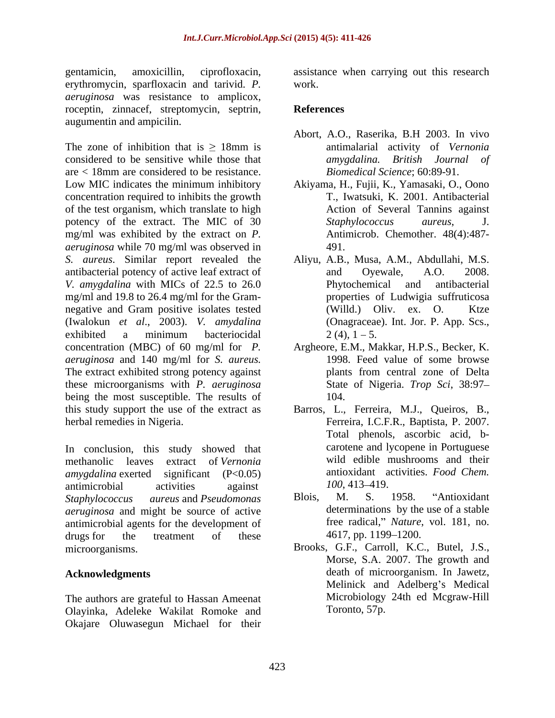gentamicin, amoxicillin, ciprofloxacin, assistance when carrying out this research erythromycin, sparfloxacin and tarivid. *P. aeruginosa* was resistance to amplicox, roceptin, zinnacef, streptomycin, septrin, augumentin and ampicilin.

The zone of inhibition that is  $\geq 18$ mm is antimalarial activity of Vernonia considered to be sensitive while those that *amygdalina*. British Journal of are < 18mm are considered to be resistance. Low MIC indicates the minimum inhibitory Akiyama, H., Fujii, K., Yamasaki, O., Oono concentration required to inhibits thegrowth of the test organism, which translate to high potency of the extract. The MIC of 30 Staphylococcus aureus, J. mg/ml was exhibited by the extract on *P. aeruginosa* while 70 mg/ml was observed in *S. aureus*. Similar report revealed the Aliyu, A.B., Musa, A.M., Abdullahi, M.S. antibacterial potency of active leaf extract of and Oyewale, A.O. 2008. *V. amygdalina* with MICs of 22.5 to 26.0 Phytochemical and antibacterial mg/ml and 19.8 to 26.4 mg/ml for the Gram negative and Gram positive isolates tested (Willd.) Oliv. ex. O. Ktze (Iwalokun *et al*., 2003). *V. amydalina* exhibited a minimum bacteriocidal  $2(4)$ ,  $1-5$ . concentration (MBC) of 60 mg/ml for *P.*  Argheore, E.M., Makkar, H.P.S., Becker, K. *aeruginosa* and 140 mg/ml for *S. aureus.* The extract exhibited strong potency against plants from central zone of Delta these microorganisms with *P. aeruginosa* being the most susceptible. The results of 104. this study support the use of the extract as

In conclusion, this study showed that methanolic leaves extract of *Vernonia amygdalina* exerted significant (P<0.05) antimicrobial activities against  $100, 413-419$ . *Staphylococcus aureus* and *Pseudomonas aeruginosa* and might be source of active antimicrobial agents for the development of free radical," Nature,<br>drugs for the treatment of these 4617, pp. 1199–1200. drugs for the treatment of these 4617, pp. 1199–1200.

The authors are grateful to Hassan Ameenat Olayinka, Adeleke Wakilat Romoke and Okajare Oluwasegun Michael for their

work.

### **References**

- Abort, A.O., Raserika, B.H 2003. In vivo antimalarial activity of *Vernonia amygdalina. British Journal of Biomedical Science*; 60:89-91.
- T., Iwatsuki, K. 2001. Antibacterial Action of Several Tannins against *Staphylococcus aureus*, J. Antimicrob. Chemother. 48(4):487- 491.
- and Oyewale, A.O. 2008. Phytochemical and antibacterial properties of Ludwigia suffruticosa  $(Willd.)$  Oliv. ex. O. (Onagraceae). Int. Jor. P. App. Scs.,  $2(4)$ ,  $1-5$ .
- 1998. Feed value of some browse plants from central zone of Delta State of Nigeria. *Trop Sci*, 38:97 104.
- herbal remedies in Nigeria. Ferreira, I.C.F.R., Baptista, P. 2007. Barros, L., Ferreira, M.J., Queiros, B., Total phenols, ascorbic acid, b carotene and lycopene in Portuguese wild edible mushrooms and their antioxidant activities. *Food Chem. 100*, 413–419.
	- Blois, M. S. 1958. "Antioxidant determinations by the use of a stable free radical," *Nature*, vol. 181, no. 4617, pp. 1199–1200.
- microorganisms. Brooks, G.F., Carroll, K.C., Butel, J.S., **Acknowledgments** death of microorganism. In Jawetz, Morse, S.A. 2007. The growth and Melinick and Adelberg's Medical Microbiology 24th ed Mcgraw-Hill Toronto, 57p.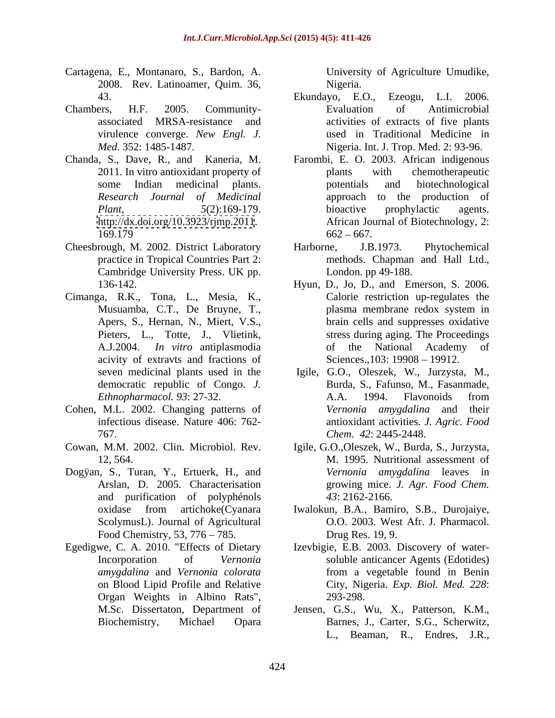- Cartagena, E., Montanaro, S., Bardon, A. 2008. Rev. Latinoamer, Quim. 36,
- virulence converge. *New Engl. J.*
- 
- 
- Cimanga, R.K., Tona, L., Mesia, K., acivity of extravts and fractions of democratic republic of Congo. *J.*
- Cohen, M.L. 2002. Changing patterns of
- Cowan, M.M. 2002. Clin. Microbiol. Rev.
- Dogÿan, S., Turan, Y., Ertuerk, H., and and purification of polyphénols Food Chemistry,  $53$ ,  $776 - 785$ .
- Organ Weights in Albino Rats",

University of Agriculture Umudike, Nigeria.

- 43. Ekundayo, E.O., Ezeogu, L.I. 2006. Chambers, H.F. 2005. Community associated MRSA-resistance and activities of extracts of five plants *Med.* 352: 1485-1487. Nigeria. Int. J. Trop. Med. 2: 93-96. Evaluation of Antimicrobial used in Traditional Medicine in
- Chanda, S., Dave, R., and Kaneria, M. Farombi, E. O. 2003. African indigenous 2011. In vitro antioxidant property of plants with chemotherapeutic some Indian medicinal plants. *Research Journal of Medicinal* approach to the production of *Plant,* 5(2):169-179. bioactive prophylactic agents. <http://dx.doi.org/10.3923/rjmp.2011>. African Journal of Biotechnology, 2:  $169.179$  662 – 667. plants with chemotherapeutic potentials and biotechnological bioactive prophylactic agents.  $662 - 667$ .
- Cheesbrough, M. 2002. District Laboratory Harborne, J.B.1973. Phytochemical practice in Tropical Countries Part 2: methods. Chapman and Hall Ltd., Cambridge University Press. UK pp. Harborne, J.B.1973. Phytochemical London. pp 49-188.
	- 136-142. Hyun, D., Jo, D., and Emerson, S. 2006. Musuamba, C.T., De Bruyne, T., Apers, S., Hernan, N., Miert, V.S., brain cells and suppresses oxidative Pieters, L., Totte, J., Vlietink, stress during aging. The Proceedings A.J.2004. *In vitro* antiplasmodia Calorie restriction up-regulates the plasma membrane redox system in of the National Academy of Sciences., 103: 19908 - 19912.
	- seven medicinal plants used in the Igile, G.O., Oleszek, W., Jurzysta, M., *Ethnopharmacol. 93*: 27-32. infectious disease. Nature 406: 762- antioxidant activities. *J. Agric. Food* 767. *Chem*. *42*: 2445-2448. Burda, S., Fafunso, M., Fasanmade, A.A. 1994. Flavonoids from *Vernonia amygdalina* and their
	- 12, 564. M. 1995. Nutritional assessment of Arslan, D. 2005. Characterisation growing mice. *J. Agr. Food Chem.* Igile, G.O.,Oleszek, W., Burda, S., Jurzysta, *Vernonia amygdalina* leaves in *43*: 2162-2166.
	- oxidase from artichoke(Cyanara Iwalokun, B.A., Bamiro, S.B., Durojaiye,O.O. 2003. West Afr. J. Pharmacol. ScolymusL). Journal of Agricultural 0.0. 2003. West Afr. J. Pharmacol. Drug Res. 19, 9.
- Egedigwe, C. A. 2010. "Effects of Dietary Izevbigie, E.B. 2003. Discovery of water- Incorporation of *Vernonia*  soluble anticancer Agents (Edotides) *amygdalina* and *Vernonia colorata* on Blood Lipid Profile and Relative City, Nigeria. *Exp. Biol. Med. 228*: from a vegetable found in Benin 293-298.
	- M.Sc. Dissertaton, Department of Jensen, G.S., Wu, X., Patterson, K.M., Biochemistry, Michael Opara Barnes, J., Carter, S.G., Scherwitz, L., Beaman, R., Endres, J.R.,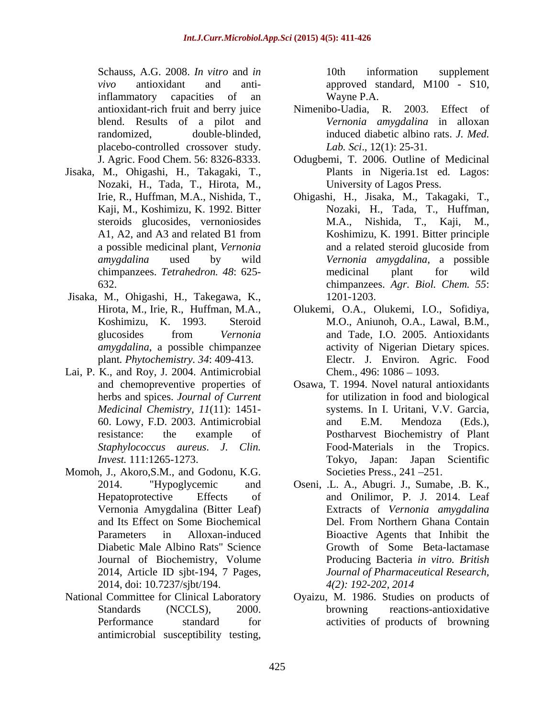Schauss, A.G. 2008. *In vitro* and *in vivo* antioxidant and anti-approved standard, M100 - S10, inflammatory capacities of an Wayne P.A. blend. Results of a pilot and placebo-controlled crossover study.

- Jisaka, M., Ohigashi, H., Takagaki, T., Nozaki, H., Tada, T., Hirota, M.,
- Jisaka, M., Ohigashi, H., Takegawa, K., *amygdalina*, a possible chimpanzee
- Lai, P. K., and Roy, J. 2004. Antimicrobial
- Momoh, J., Akoro,S.M., and Godonu, K.G. 2014, doi: 10.7237/sjbt/194. 4(2): 192-202, 2014
- National Committee for Clinical Laboratory Oyaizu, M. 1986. Studies on products of antimicrobial susceptibility testing,

10th information supplement Wayne P.A.

- antioxidant-rich fruit and berry juice randomized, double-blinded, induced diabetic albino rats. *J. Med.* Nimenibo-Uadia, R. 2003. *Vernonia amygdalina* in alloxan *Lab. Sci*., 12(1): 25-31.
- J. Agric. Food Chem. 56: 8326-8333. Odugbemi, T. 2006. Outline of Medicinal Plants in Nigeria.1st ed. Lagos: University of Lagos Press.
- Irie, R., Huffman, M.A., Nishida, T., Ohigashi, H., Jisaka, M., Takagaki, T., Kaji, M., Koshimizu, K. 1992. Bitter Nozaki, H., Tada, T., Huffman, steroids glucosides, vernoniosides M.A., Nishida, T., Kaji, M., A1, A2, and A3 and related B1 from Koshimizu, K. 1991. Bitter principle a possible medicinal plant, *Vernonia amygdalina* used by wild *Vernonia amygdalina*, a possible chimpanzees. *Tetrahedron. 48*: 625- 632. chimpanzees. *Agr. Biol. Chem. 55*: M.A., Nishida, T., Kaji, M., Koshimizu, K. 1991. Bitter principle and a related steroid glucoside from medicinal plant for wild 1201-1203.
- Hirota, M., Irie, R., Huffman, M.A., Olukemi, O.A., Olukemi, I.O., Sofidiya, Koshimizu, K. 1993. Steroid M.O., Aniunoh, O.A., Lawal, B.M., glucosides from *Vernonia*  plant*. Phytochemistry. 34*: 409-413. Electr. J. Environ. Agric. Food and Tade, I.O. 2005. Antioxidants activity of Nigerian Dietary spices. Chem., 496: 1086 - 1093.
- and chemopreventive properties of Osawa, T. 1994. Novel natural antioxidants herbs and spices. *Journal of Current* for utilization in food and biological *Medicinal Chemistry, 11*(11): 1451- systems. In I. Uritani, V.V. Garcia, 60. Lowy, F.D. 2003. Antimicrobial resistance: the example of Postharvest Biochemistry of Plant *Staphylococcus aureus*. *J. Clin. Invest.* 111:1265-1273. Tokyo, Japan: Japan Scientific and E.M. Mendoza (Eds.), Food-Materials in the Tokyo, Japan: Japan Scientific Societies Press., 241-251.
- 2014. "Hypoglycemic and Oseni, .L. A., Abugri. J., Sumabe, .B. K., Hepatoprotective Effects of and Onilimor, P. J. 2014. Leaf Vernonia Amygdalina (Bitter Leaf) Extracts of *Vernonia amygdalina* and Its Effect on Some Biochemical Parameters in Alloxan-induced Bioactive Agents that Inhibit the Diabetic Male Albino Rats" Science Growth of Some Beta-lactamase Journal of Biochemistry, Volume Producing Bacteria *in vitro. British*  2014, Article ID sjbt-194, 7 Pages, *Journal of Pharmaceutical Research,*  Del. From Northern Ghana Contain *4(2): 192-202, 2014*
- Standards (NCCLS), 2000. browning reactions-antioxidative Performance standard for activities of products of browning browning reactions-antioxidative